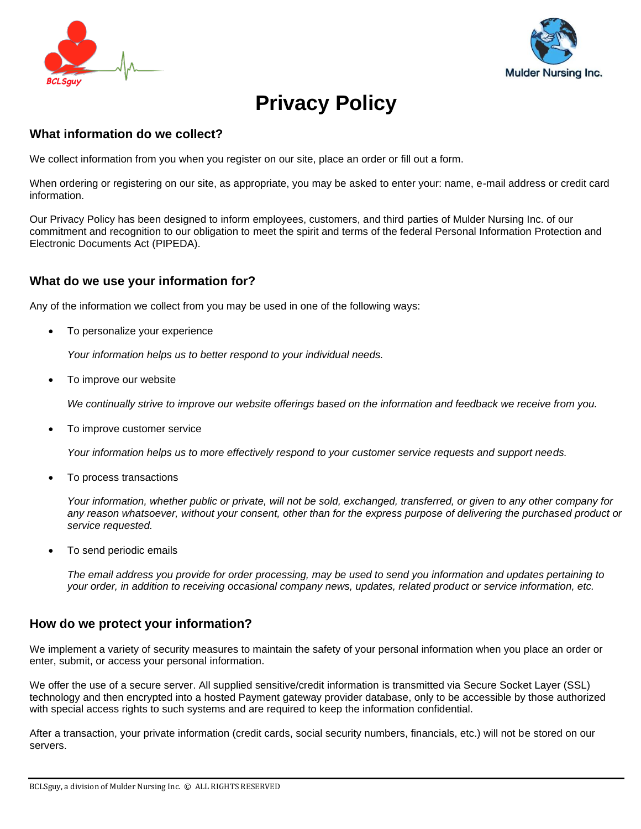



# **Privacy Policy**

# **What information do we collect?**

We collect information from you when you register on our site, place an order or fill out a form.

When ordering or registering on our site, as appropriate, you may be asked to enter your: name, e-mail address or credit card information.

Our Privacy Policy has been designed to inform employees, customers, and third parties of Mulder Nursing Inc. of our commitment and recognition to our obligation to meet the spirit and terms of the federal Personal Information Protection and Electronic Documents Act (PIPEDA).

# **What do we use your information for?**

Any of the information we collect from you may be used in one of the following ways:

To personalize your experience

*Your information helps us to better respond to your individual needs.*

To improve our website

*We continually strive to improve our website offerings based on the information and feedback we receive from you.*

To improve customer service

*Your information helps us to more effectively respond to your customer service requests and support needs.*

• To process transactions

*Your information, whether public or private, will not be sold, exchanged, transferred, or given to any other company for any reason whatsoever, without your consent, other than for the express purpose of delivering the purchased product or service requested.*

• To send periodic emails

*The email address you provide for order processing, may be used to send you information and updates pertaining to your order, in addition to receiving occasional company news, updates, related product or service information, etc.*

## **How do we protect your information?**

We implement a variety of security measures to maintain the safety of your personal information when you place an order or enter, submit, or access your personal information.

We offer the use of a secure server. All supplied sensitive/credit information is transmitted via Secure Socket Layer (SSL) technology and then encrypted into a hosted Payment gateway provider database, only to be accessible by those authorized with special access rights to such systems and are required to keep the information confidential.

After a transaction, your private information (credit cards, social security numbers, financials, etc.) will not be stored on our servers.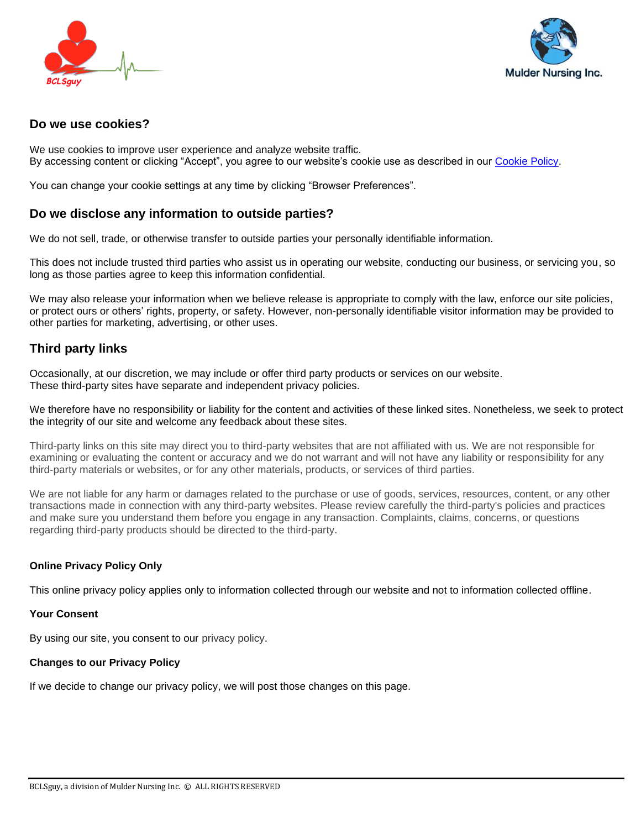



## **Do we use cookies?**

We use cookies to improve user experience and analyze website traffic. By accessing content or clicking "Accept", you agree to our website's cookie use as described in our [Cookie Policy.](https://bclsguy.com/)

You can change your cookie settings at any time by clicking "Browser Preferences".

# **Do we disclose any information to outside parties?**

We do not sell, trade, or otherwise transfer to outside parties your personally identifiable information.

This does not include trusted third parties who assist us in operating our website, conducting our business, or servicing you, so long as those parties agree to keep this information confidential.

We may also release your information when we believe release is appropriate to comply with the law, enforce our site policies, or protect ours or others' rights, property, or safety. However, non-personally identifiable visitor information may be provided to other parties for marketing, advertising, or other uses.

# **Third party links**

Occasionally, at our discretion, we may include or offer third party products or services on our website. These third-party sites have separate and independent privacy policies.

We therefore have no responsibility or liability for the content and activities of these linked sites. Nonetheless, we seek to protect the integrity of our site and welcome any feedback about these sites.

Third-party links on this site may direct you to third-party websites that are not affiliated with us. We are not responsible for examining or evaluating the content or accuracy and we do not warrant and will not have any liability or responsibility for any third-party materials or websites, or for any other materials, products, or services of third parties.

We are not liable for any harm or damages related to the purchase or use of goods, services, resources, content, or any other transactions made in connection with any third-party websites. Please review carefully the third-party's policies and practices and make sure you understand them before you engage in any transaction. Complaints, claims, concerns, or questions regarding third-party products should be directed to the third-party.

## **Online Privacy Policy Only**

This online privacy policy applies only to information collected through our website and not to information collected offline.

#### **Your Consent**

By using our site, you consent to our privacy policy.

### **Changes to our Privacy Policy**

If we decide to change our privacy policy, we will post those changes on this page.